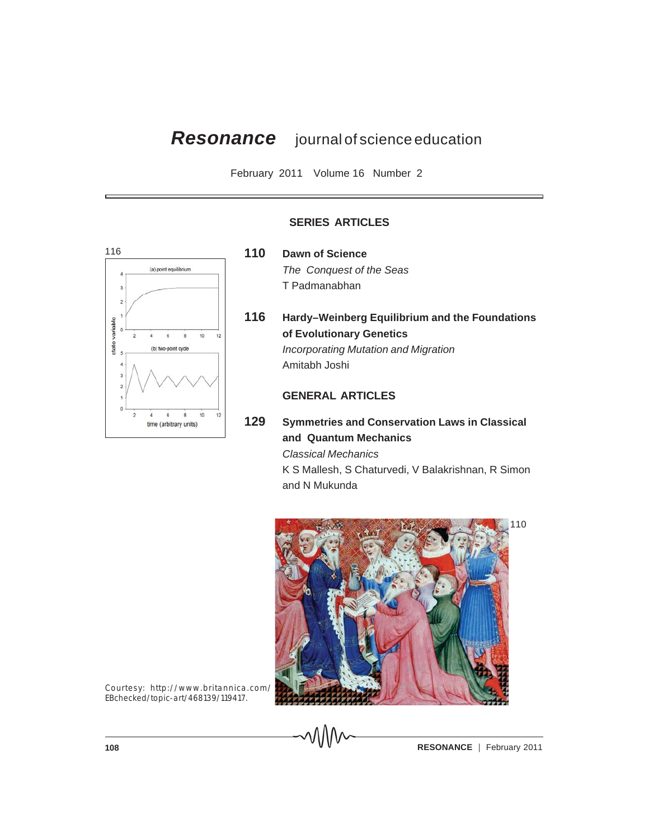# *Resonance* journal of science education

February 2011 Volume 16 Number 2



# **SERIES ARTICLES**

- **110 Dawn of Science** *The Conquest of the Seas* T Padmanabhan
- **116 Hardy–Weinberg Equilibrium and the Foundations of Evolutionary Genetics** *Incorporating Mutation and Migration* Amitabh Joshi

# **GENERAL ARTICLES**

 $\Lambda$ A $\Lambda$ 

**129 Symmetries and Conservation Laws in Classical and Quantum Mechanics** *Classical Mechanics* K S Mallesh, S Chaturvedi, V Balakrishnan, R Simon and N Mukunda



Courtesy: http://www.britannica.com/ EBchecked/topic-art/468139/119417.

**108 CONSERVANCE RESONANCE February 2011**